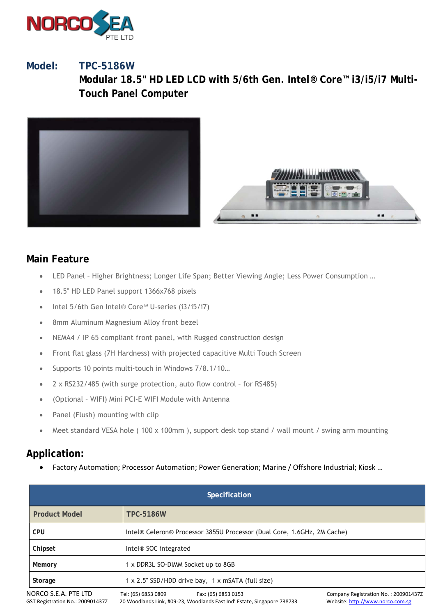

## **Model: TPC-5186W**

**Modular 18.5" HD LED LCD with 5/6th Gen. Intel® Core™ i3/i5/i7 Multi-Touch Panel Computer**





## **Main Feature**

- LED Panel Higher Brightness; Longer Life Span; Better Viewing Angle; Less Power Consumption …
- 18.5" HD LED Panel support 1366x768 pixels
- Intel 5/6th Gen Intel® Core™ U-series (i3/i5/i7)
- 8mm Aluminum Magnesium Alloy front bezel
- NEMA4 / IP 65 compliant front panel, with Rugged construction design
- Front flat glass (7H Hardness) with projected capacitive Multi Touch Screen
- Supports 10 points multi-touch in Windows 7/8.1/10...
- 2 x RS232/485 (with surge protection, auto flow control for RS485)
- (Optional WIFI) Mini PCI-E WIFI Module with Antenna
- Panel (Flush) mounting with clip
- Meet standard VESA hole (100 x 100mm), support desk top stand / wall mount / swing arm mounting

## **Application:**

• Factory Automation; Processor Automation; Power Generation; Marine / Offshore Industrial; Kiosk …

| <b>Specification</b>                                     |                                                                                                                       |                                                                          |
|----------------------------------------------------------|-----------------------------------------------------------------------------------------------------------------------|--------------------------------------------------------------------------|
| <b>Product Model</b>                                     | <b>TPC-5186W</b>                                                                                                      |                                                                          |
| <b>CPU</b>                                               | Intel® Celeron® Processor 3855U Processor (Dual Core, 1.6GHz, 2M Cache)                                               |                                                                          |
| Chipset                                                  | Intel <sup>®</sup> SOC integrated                                                                                     |                                                                          |
| Memory                                                   | 1 x DDR3L SO-DIMM Socket up to 8GB                                                                                    |                                                                          |
| Storage                                                  | 1 x 2.5" SSD/HDD drive bay, 1 x mSATA (full size)                                                                     |                                                                          |
| NORCO S.E.A. PTE LTD<br>GST Registration No.: 200901437Z | Tel: (65) 6853 0809<br>Fax: (65) 6853 0153<br>20 Woodlands Link, #09-23, Woodlands East Ind' Estate, Singapore 738733 | Company Registration No.: 2009014372<br>Website: http://www.norco.com.sg |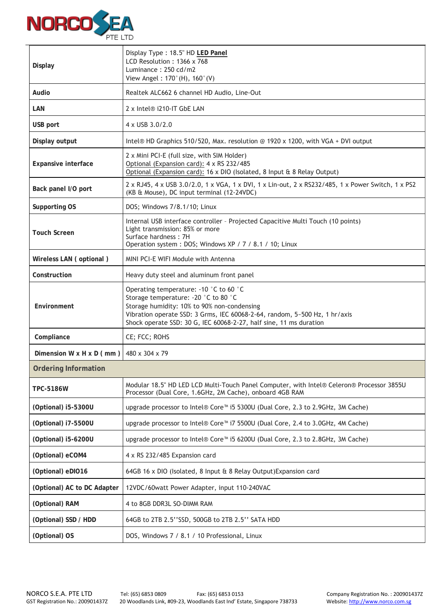

| <b>Display</b>              | Display Type: 18.5" HD LED Panel<br>LCD Resolution: 1366 x 768<br>Luminance: 250 cd/m2<br>View Angel: 170°(H), 160°(V)                                                                                                                                                            |  |
|-----------------------------|-----------------------------------------------------------------------------------------------------------------------------------------------------------------------------------------------------------------------------------------------------------------------------------|--|
| Audio                       | Realtek ALC662 6 channel HD Audio, Line-Out                                                                                                                                                                                                                                       |  |
| LAN                         | 2 x Intel <sup>®</sup> i210-IT GbE LAN                                                                                                                                                                                                                                            |  |
| USB port                    | 4 x USB 3.0/2.0                                                                                                                                                                                                                                                                   |  |
| Display output              | Intel® HD Graphics 510/520, Max. resolution @ 1920 x 1200, with VGA + DVI output                                                                                                                                                                                                  |  |
| Expansive interface         | 2 x Mini PCI-E (full size, with SIM Holder)<br>Optional (Expansion card): 4 x RS 232/485<br>Optional (Expansion card): 16 x DIO (Isolated, 8 Input & 8 Relay Output)                                                                                                              |  |
| Back panel I/O port         | 2 x RJ45, 4 x USB 3.0/2.0, 1 x VGA, 1 x DVI, 1 x Lin-out, 2 x RS232/485, 1 x Power Switch, 1 x PS2<br>(KB & Mouse), DC input terminal (12-24VDC)                                                                                                                                  |  |
| Supporting OS               | DOS; Windows 7/8.1/10; Linux                                                                                                                                                                                                                                                      |  |
| <b>Touch Screen</b>         | Internal USB interface controller - Projected Capacitive Multi Touch (10 points)<br>Light transmission: 85% or more<br>Surface hardness: 7H<br>Operation system : DOS; Windows XP / 7 / 8.1 / 10; Linux                                                                           |  |
| Wireless LAN (optional)     | MINI PCI-E WIFI Module with Antenna                                                                                                                                                                                                                                               |  |
| Construction                | Heavy duty steel and aluminum front panel                                                                                                                                                                                                                                         |  |
| Environment                 | Operating temperature: -10 °C to 60 °C<br>Storage temperature: -20 °C to 80 °C<br>Storage humidity: 10% to 90% non-condensing<br>Vibration operate SSD: 3 Grms, IEC 60068-2-64, random, 5~500 Hz, 1 hr/axis<br>Shock operate SSD: 30 G, IEC 60068-2-27, half sine, 11 ms duration |  |
| Compliance                  | CE; FCC; ROHS                                                                                                                                                                                                                                                                     |  |
| Dimension W x H x D (mm)    | 480 x 304 x 79                                                                                                                                                                                                                                                                    |  |
| <b>Ordering Information</b> |                                                                                                                                                                                                                                                                                   |  |
| <b>TPC-5186W</b>            | Modular 18.5" HD LED LCD Multi-Touch Panel Computer, with Intel® Celeron® Processor 3855U<br>Processor (Dual Core, 1.6GHz, 2M Cache), onboard 4GB RAM                                                                                                                             |  |
| (Optional) i5-5300U         | upgrade processor to Intel® Core™ i5 5300U (Dual Core, 2.3 to 2.9GHz, 3M Cache)                                                                                                                                                                                                   |  |
| (Optional) i7-5500U         | upgrade processor to Intel® Core™ i7 5500U (Dual Core, 2.4 to 3.0GHz, 4M Cache)                                                                                                                                                                                                   |  |
| (Optional) i5-6200U         | upgrade processor to Intel® Core™ i5 6200U (Dual Core, 2.3 to 2.8GHz, 3M Cache)                                                                                                                                                                                                   |  |
| (Optional) eCOM4            | 4 x RS 232/485 Expansion card                                                                                                                                                                                                                                                     |  |
| (Optional) eDIO16           | 64GB 16 x DIO (Isolated, 8 Input & 8 Relay Output) Expansion card                                                                                                                                                                                                                 |  |
| (Optional) AC to DC Adapter | 12VDC/60watt Power Adapter, input 110-240VAC                                                                                                                                                                                                                                      |  |
| (Optional) RAM              | 4 to 8GB DDR3L SO-DIMM RAM                                                                                                                                                                                                                                                        |  |
| (Optional) SSD / HDD        | 64GB to 2TB 2.5"SSD, 500GB to 2TB 2.5" SATA HDD                                                                                                                                                                                                                                   |  |
| (Optional) OS               | DOS, Windows 7 / 8.1 / 10 Professional, Linux                                                                                                                                                                                                                                     |  |